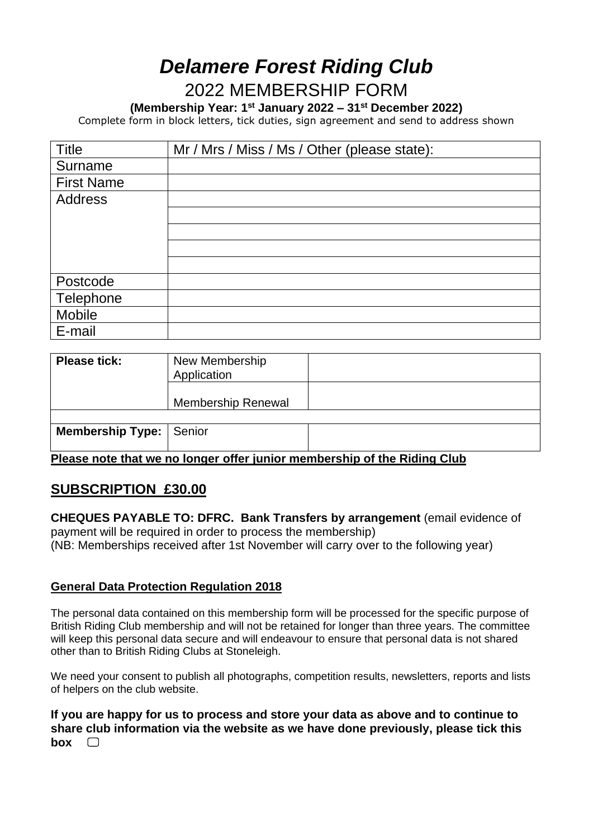# *Delamere Forest Riding Club* 2022 MEMBERSHIP FORM

### **(Membership Year: 1 st January 2022 – 31 st December 2022)**

Complete form in block letters, tick duties, sign agreement and send to address shown

| <b>Title</b>      | Mr / Mrs / Miss / Ms / Other (please state): |
|-------------------|----------------------------------------------|
| Surname           |                                              |
| <b>First Name</b> |                                              |
| <b>Address</b>    |                                              |
|                   |                                              |
|                   |                                              |
|                   |                                              |
|                   |                                              |
| Postcode          |                                              |
| Telephone         |                                              |
| Mobile            |                                              |
| E-mail            |                                              |

| <b>Please tick:</b>            | New Membership<br>Application |  |
|--------------------------------|-------------------------------|--|
|                                | <b>Membership Renewal</b>     |  |
| <b>Membership Type:</b> Senior |                               |  |

**Please note that we no longer offer junior membership of the Riding Club**

# **SUBSCRIPTION £30.00**

**CHEQUES PAYABLE TO: DFRC. Bank Transfers by arrangement** (email evidence of payment will be required in order to process the membership) (NB: Memberships received after 1st November will carry over to the following year)

#### **General Data Protection Regulation 2018**

The personal data contained on this membership form will be processed for the specific purpose of British Riding Club membership and will not be retained for longer than three years. The committee will keep this personal data secure and will endeavour to ensure that personal data is not shared other than to British Riding Clubs at Stoneleigh.

We need your consent to publish all photographs, competition results, newsletters, reports and lists of helpers on the club website.

**If you are happy for us to process and store your data as above and to continue to share club information via the website as we have done previously, please tick this box**